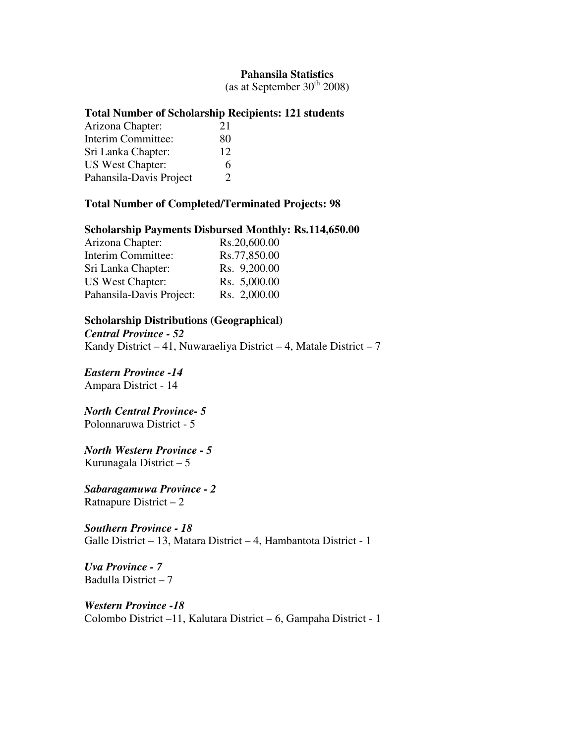### **Pahansila Statistics**

(as at September  $30<sup>th</sup> 2008$ )

## **Total Number of Scholarship Recipients: 121 students**

| Arizona Chapter:        | 21            |
|-------------------------|---------------|
| Interim Committee:      | 80            |
| Sri Lanka Chapter:      | 12            |
| <b>US West Chapter:</b> | 6             |
| Pahansila-Davis Project | $\mathcal{D}$ |

## **Total Number of Completed/Terminated Projects: 98**

#### **Scholarship Payments Disbursed Monthly: Rs.114,650.00**

| Arizona Chapter:         | Rs.20,600.00 |
|--------------------------|--------------|
| Interim Committee:       | Rs.77,850.00 |
| Sri Lanka Chapter:       | Rs. 9,200.00 |
| <b>US West Chapter:</b>  | Rs. 5,000.00 |
| Pahansila-Davis Project: | Rs. 2,000.00 |

#### **Scholarship Distributions (Geographical)**

*Central Province - 52*  Kandy District – 41, Nuwaraeliya District – 4, Matale District – 7

*Eastern Province -14*  Ampara District - 14

*North Central Province- 5*  Polonnaruwa District - 5

*North Western Province - 5*  Kurunagala District – 5

*Sabaragamuwa Province - 2*  Ratnapure District – 2

*Southern Province - 18*  Galle District – 13, Matara District – 4, Hambantota District - 1

*Uva Province - 7*  Badulla District – 7

*Western Province -18*  Colombo District –11, Kalutara District – 6, Gampaha District - 1